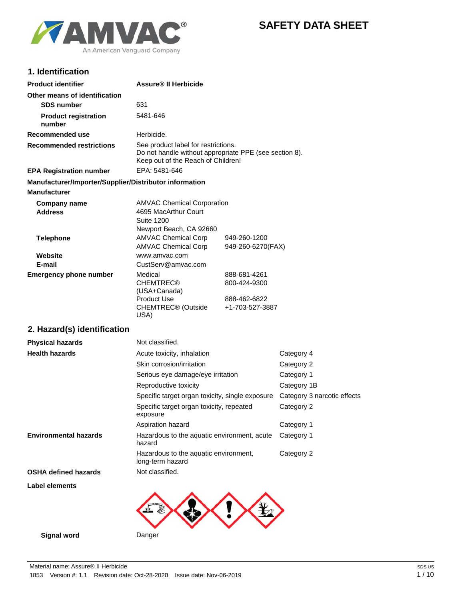

# **SAFETY DATA SHEET**

## **1. Identification**

| <b>Product identifier</b>                              | <b>Assure® II Herbicide</b>                                                                                                         |                   |
|--------------------------------------------------------|-------------------------------------------------------------------------------------------------------------------------------------|-------------------|
| Other means of identification                          |                                                                                                                                     |                   |
| <b>SDS number</b>                                      | 631                                                                                                                                 |                   |
| <b>Product registration</b><br>number                  | 5481-646                                                                                                                            |                   |
| Recommended use                                        | Herbicide.                                                                                                                          |                   |
| <b>Recommended restrictions</b>                        | See product label for restrictions.<br>Do not handle without appropriate PPE (see section 8).<br>Keep out of the Reach of Children! |                   |
| <b>EPA Registration number</b>                         | EPA: 5481-646                                                                                                                       |                   |
| Manufacturer/Importer/Supplier/Distributor information |                                                                                                                                     |                   |
| <b>Manufacturer</b>                                    |                                                                                                                                     |                   |
| <b>Company name</b>                                    | <b>AMVAC Chemical Corporation</b>                                                                                                   |                   |
| <b>Address</b>                                         | 4695 MacArthur Court                                                                                                                |                   |
|                                                        | <b>Suite 1200</b>                                                                                                                   |                   |
|                                                        | Newport Beach, CA 92660                                                                                                             |                   |
| <b>Telephone</b>                                       | <b>AMVAC Chemical Corp</b>                                                                                                          | 949-260-1200      |
|                                                        | <b>AMVAC Chemical Corp</b>                                                                                                          | 949-260-6270(FAX) |
| Website                                                | www.amvac.com                                                                                                                       |                   |
| E-mail                                                 | CustServ@amvac.com                                                                                                                  |                   |
| <b>Emergency phone number</b>                          | Medical                                                                                                                             | 888-681-4261      |
|                                                        | <b>CHEMTREC®</b><br>(USA+Canada)                                                                                                    | 800-424-9300      |
|                                                        | <b>Product Use</b>                                                                                                                  | 888-462-6822      |
|                                                        | CHEMTREC <sup>®</sup> (Outside<br>USA)                                                                                              | +1-703-527-3887   |

## **2. Hazard(s) identification**

| <b>Physical hazards</b>      | Not classified.                                           |                             |
|------------------------------|-----------------------------------------------------------|-----------------------------|
| <b>Health hazards</b>        | Acute toxicity, inhalation                                | Category 4                  |
|                              | Skin corrosion/irritation                                 | Category 2                  |
|                              | Serious eye damage/eye irritation                         | Category 1                  |
|                              | Reproductive toxicity                                     | Category 1B                 |
|                              | Specific target organ toxicity, single exposure           | Category 3 narcotic effects |
|                              | Specific target organ toxicity, repeated<br>exposure      | Category 2                  |
|                              | Aspiration hazard                                         | Category 1                  |
| <b>Environmental hazards</b> | Hazardous to the aquatic environment, acute<br>hazard     | Category 1                  |
|                              | Hazardous to the aquatic environment,<br>long-term hazard | Category 2                  |
| <b>OSHA defined hazards</b>  | Not classified.                                           |                             |
| Label elements               |                                                           |                             |
|                              |                                                           |                             |

**Signal word** Danger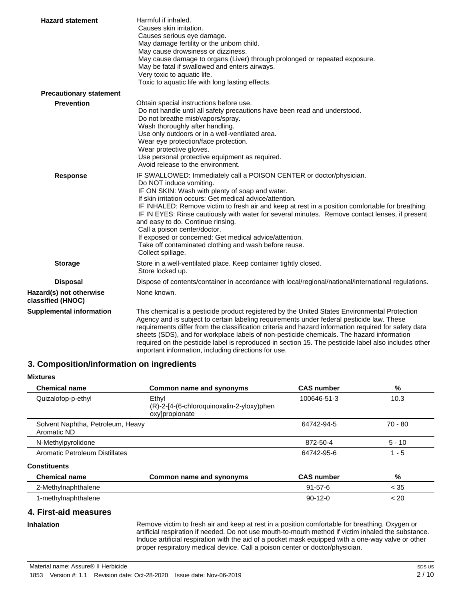| <b>Hazard statement</b>                      | Harmful if inhaled.<br>Causes skin irritation.<br>Causes serious eye damage.<br>May damage fertility or the unborn child.<br>May cause drowsiness or dizziness.<br>May cause damage to organs (Liver) through prolonged or repeated exposure.<br>May be fatal if swallowed and enters airways.<br>Very toxic to aquatic life.<br>Toxic to aquatic life with long lasting effects.                                                                                                                                                                                                                                                |
|----------------------------------------------|----------------------------------------------------------------------------------------------------------------------------------------------------------------------------------------------------------------------------------------------------------------------------------------------------------------------------------------------------------------------------------------------------------------------------------------------------------------------------------------------------------------------------------------------------------------------------------------------------------------------------------|
| <b>Precautionary statement</b>               |                                                                                                                                                                                                                                                                                                                                                                                                                                                                                                                                                                                                                                  |
| <b>Prevention</b>                            | Obtain special instructions before use.<br>Do not handle until all safety precautions have been read and understood.<br>Do not breathe mist/vapors/spray.<br>Wash thoroughly after handling.<br>Use only outdoors or in a well-ventilated area.<br>Wear eye protection/face protection.<br>Wear protective gloves.<br>Use personal protective equipment as required.<br>Avoid release to the environment.                                                                                                                                                                                                                        |
| <b>Response</b>                              | IF SWALLOWED: Immediately call a POISON CENTER or doctor/physician.<br>Do NOT induce vomiting.<br>IF ON SKIN: Wash with plenty of soap and water.<br>If skin irritation occurs: Get medical advice/attention.<br>IF INHALED: Remove victim to fresh air and keep at rest in a position comfortable for breathing.<br>IF IN EYES: Rinse cautiously with water for several minutes. Remove contact lenses, if present<br>and easy to do. Continue rinsing.<br>Call a poison center/doctor.<br>If exposed or concerned: Get medical advice/attention.<br>Take off contaminated clothing and wash before reuse.<br>Collect spillage. |
| <b>Storage</b>                               | Store in a well-ventilated place. Keep container tightly closed.<br>Store locked up.                                                                                                                                                                                                                                                                                                                                                                                                                                                                                                                                             |
| <b>Disposal</b>                              | Dispose of contents/container in accordance with local/regional/national/international regulations.                                                                                                                                                                                                                                                                                                                                                                                                                                                                                                                              |
| Hazard(s) not otherwise<br>classified (HNOC) | None known.                                                                                                                                                                                                                                                                                                                                                                                                                                                                                                                                                                                                                      |
| <b>Supplemental information</b>              | This chemical is a pesticide product registered by the United States Environmental Protection<br>Agency and is subject to certain labeling requirements under federal pesticide law. These<br>requirements differ from the classification criteria and hazard information required for safety data<br>sheets (SDS), and for workplace labels of non-pesticide chemicals. The hazard information<br>required on the pesticide label is reproduced in section 15. The pesticide label also includes other<br>important information, including directions for use.                                                                  |

## **3. Composition/information on ingredients**

| <b>Mixtures</b>                                  |                                                                      |                   |           |
|--------------------------------------------------|----------------------------------------------------------------------|-------------------|-----------|
| <b>Chemical name</b>                             | Common name and synonyms                                             | <b>CAS number</b> | %         |
| Quizalofop-p-ethyl                               | Ethyl<br>(R)-2-[4-(6-chloroquinoxalin-2-yloxy)phen<br>oxylpropionate | 100646-51-3       | 10.3      |
| Solvent Naphtha, Petroleum, Heavy<br>Aromatic ND |                                                                      | 64742-94-5        | $70 - 80$ |
| N-Methylpyrolidone                               |                                                                      | 872-50-4          | $5 - 10$  |
| Aromatic Petroleum Distillates                   |                                                                      | 64742-95-6        | $1 - 5$   |
| <b>Constituents</b>                              |                                                                      |                   |           |
| <b>Chemical name</b>                             | Common name and synonyms                                             | <b>CAS number</b> | %         |
| 2-Methylnaphthalene                              |                                                                      | $91 - 57 - 6$     | < 35      |
| 1-methylnaphthalene                              |                                                                      | $90-12-0$         | < 20      |

## **4. First-aid measures**

Remove victim to fresh air and keep at rest in a position comfortable for breathing. Oxygen or artificial respiration if needed. Do not use mouth-to-mouth method if victim inhaled the substance. Induce artificial respiration with the aid of a pocket mask equipped with a one-way valve or other proper respiratory medical device. Call a poison center or doctor/physician.

**Inhalation**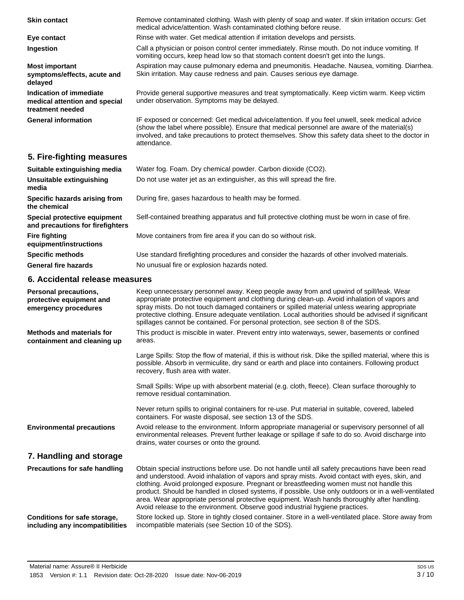Remove contaminated clothing. Wash with plenty of soap and water. If skin irritation occurs: Get medical advice/attention. Wash contaminated clothing before reuse. **Skin contact Eye contact** Rinse with water. Get medical attention if irritation develops and persists. Call a physician or poison control center immediately. Rinse mouth. Do not induce vomiting. If vomiting occurs, keep head low so that stomach content doesn't get into the lungs. **Ingestion** Aspiration may cause pulmonary edema and pneumonitis. Headache. Nausea, vomiting. Diarrhea. Skin irritation. May cause redness and pain. Causes serious eye damage. **Most important symptoms/effects, acute and delayed** Provide general supportive measures and treat symptomatically. Keep victim warm. Keep victim under observation. Symptoms may be delayed. **Indication of immediate medical attention and special treatment needed** IF exposed or concerned: Get medical advice/attention. If you feel unwell, seek medical advice (show the label where possible). Ensure that medical personnel are aware of the material(s) involved, and take precautions to protect themselves. Show this safety data sheet to the doctor in attendance. **General information**

## **5. Fire-fighting measures**

| Suitable extinguishing media                                     | Water fog. Foam. Dry chemical powder. Carbon dioxide (CO2).                                   |
|------------------------------------------------------------------|-----------------------------------------------------------------------------------------------|
| Unsuitable extinguishing<br>media                                | Do not use water jet as an extinguisher, as this will spread the fire.                        |
| Specific hazards arising from<br>the chemical                    | During fire, gases hazardous to health may be formed.                                         |
| Special protective equipment<br>and precautions for firefighters | Self-contained breathing apparatus and full protective clothing must be worn in case of fire. |
| <b>Fire fighting</b><br>equipment/instructions                   | Move containers from fire area if you can do so without risk.                                 |
| <b>Specific methods</b>                                          | Use standard firefighting procedures and consider the hazards of other involved materials.    |
| <b>General fire hazards</b>                                      | No unusual fire or explosion hazards noted.                                                   |

#### **6. Accidental release measures**

| Personal precautions,<br>protective equipment and<br>emergency procedures | Keep unnecessary personnel away. Keep people away from and upwind of spill/leak. Wear<br>appropriate protective equipment and clothing during clean-up. Avoid inhalation of vapors and<br>spray mists. Do not touch damaged containers or spilled material unless wearing appropriate<br>protective clothing. Ensure adequate ventilation. Local authorities should be advised if significant<br>spillages cannot be contained. For personal protection, see section 8 of the SDS.                                                                                                     |
|---------------------------------------------------------------------------|----------------------------------------------------------------------------------------------------------------------------------------------------------------------------------------------------------------------------------------------------------------------------------------------------------------------------------------------------------------------------------------------------------------------------------------------------------------------------------------------------------------------------------------------------------------------------------------|
| <b>Methods and materials for</b><br>containment and cleaning up           | This product is miscible in water. Prevent entry into waterways, sewer, basements or confined<br>areas.                                                                                                                                                                                                                                                                                                                                                                                                                                                                                |
|                                                                           | Large Spills: Stop the flow of material, if this is without risk. Dike the spilled material, where this is<br>possible. Absorb in vermiculite, dry sand or earth and place into containers. Following product<br>recovery, flush area with water.                                                                                                                                                                                                                                                                                                                                      |
|                                                                           | Small Spills: Wipe up with absorbent material (e.g. cloth, fleece). Clean surface thoroughly to<br>remove residual contamination.                                                                                                                                                                                                                                                                                                                                                                                                                                                      |
|                                                                           | Never return spills to original containers for re-use. Put material in suitable, covered, labeled<br>containers. For waste disposal, see section 13 of the SDS.                                                                                                                                                                                                                                                                                                                                                                                                                        |
| <b>Environmental precautions</b>                                          | Avoid release to the environment. Inform appropriate managerial or supervisory personnel of all<br>environmental releases. Prevent further leakage or spillage if safe to do so. Avoid discharge into<br>drains, water courses or onto the ground.                                                                                                                                                                                                                                                                                                                                     |
| 7. Handling and storage                                                   |                                                                                                                                                                                                                                                                                                                                                                                                                                                                                                                                                                                        |
| Precautions for safe handling                                             | Obtain special instructions before use. Do not handle until all safety precautions have been read<br>and understood. Avoid inhalation of vapors and spray mists. Avoid contact with eyes, skin, and<br>clothing. Avoid prolonged exposure. Pregnant or breastfeeding women must not handle this<br>product. Should be handled in closed systems, if possible. Use only outdoors or in a well-ventilated<br>area. Wear appropriate personal protective equipment. Wash hands thoroughly after handling.<br>Avoid release to the environment. Observe good industrial hygiene practices. |
| Conditions for safe storage,<br>including any incompatibilities           | Store locked up. Store in tightly closed container. Store in a well-ventilated place. Store away from<br>incompatible materials (see Section 10 of the SDS).                                                                                                                                                                                                                                                                                                                                                                                                                           |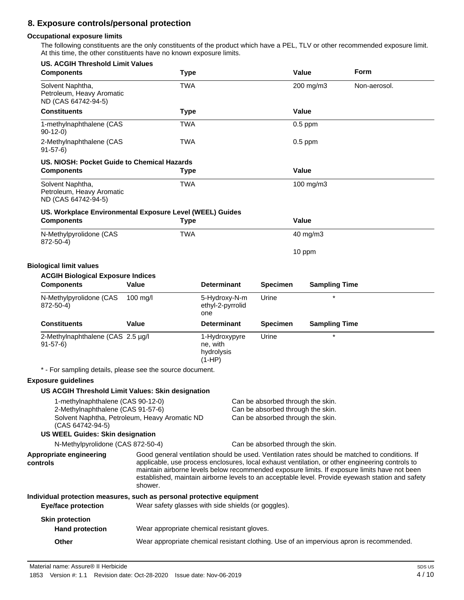## **8. Exposure controls/personal protection**

#### **Occupational exposure limits**

The following constituents are the only constituents of the product which have a PEL, TLV or other recommended exposure limit. At this time, the other constituents have no known exposure limits.

| <b>US. ACGIH Threshold Limit Values</b><br><b>Components</b>                                                                          | <b>Type</b>                                         |                                                     |                 | Value                                                                                                       | Form                                                                                                                                                                                                                                                                                                                                                                                                  |
|---------------------------------------------------------------------------------------------------------------------------------------|-----------------------------------------------------|-----------------------------------------------------|-----------------|-------------------------------------------------------------------------------------------------------------|-------------------------------------------------------------------------------------------------------------------------------------------------------------------------------------------------------------------------------------------------------------------------------------------------------------------------------------------------------------------------------------------------------|
| Solvent Naphtha,<br>Petroleum, Heavy Aromatic<br>ND (CAS 64742-94-5)                                                                  | TWA                                                 |                                                     |                 | 200 mg/m3                                                                                                   | Non-aerosol.                                                                                                                                                                                                                                                                                                                                                                                          |
| <b>Constituents</b>                                                                                                                   | <b>Type</b>                                         |                                                     |                 | Value                                                                                                       |                                                                                                                                                                                                                                                                                                                                                                                                       |
| 1-methylnaphthalene (CAS<br>$90-12-0$                                                                                                 | <b>TWA</b>                                          |                                                     |                 | $0.5$ ppm                                                                                                   |                                                                                                                                                                                                                                                                                                                                                                                                       |
| 2-Methylnaphthalene (CAS<br>$91-57-6$                                                                                                 | TWA                                                 |                                                     |                 | $0.5$ ppm                                                                                                   |                                                                                                                                                                                                                                                                                                                                                                                                       |
| US. NIOSH: Pocket Guide to Chemical Hazards                                                                                           |                                                     |                                                     |                 |                                                                                                             |                                                                                                                                                                                                                                                                                                                                                                                                       |
| <b>Components</b>                                                                                                                     | <b>Type</b>                                         |                                                     |                 | Value                                                                                                       |                                                                                                                                                                                                                                                                                                                                                                                                       |
| Solvent Naphtha,<br>Petroleum, Heavy Aromatic<br>ND (CAS 64742-94-5)                                                                  | <b>TWA</b>                                          |                                                     |                 | 100 mg/m3                                                                                                   |                                                                                                                                                                                                                                                                                                                                                                                                       |
| US. Workplace Environmental Exposure Level (WEEL) Guides                                                                              |                                                     |                                                     |                 |                                                                                                             |                                                                                                                                                                                                                                                                                                                                                                                                       |
| <b>Components</b>                                                                                                                     | <b>Type</b>                                         |                                                     |                 | Value                                                                                                       |                                                                                                                                                                                                                                                                                                                                                                                                       |
| N-Methylpyrolidone (CAS<br>872-50-4)                                                                                                  | <b>TWA</b>                                          |                                                     |                 | 40 mg/m3                                                                                                    |                                                                                                                                                                                                                                                                                                                                                                                                       |
|                                                                                                                                       |                                                     |                                                     |                 | 10 ppm                                                                                                      |                                                                                                                                                                                                                                                                                                                                                                                                       |
| <b>Biological limit values</b>                                                                                                        |                                                     |                                                     |                 |                                                                                                             |                                                                                                                                                                                                                                                                                                                                                                                                       |
| <b>ACGIH Biological Exposure Indices</b><br><b>Components</b>                                                                         | <b>Value</b>                                        | <b>Determinant</b>                                  | <b>Specimen</b> | <b>Sampling Time</b>                                                                                        |                                                                                                                                                                                                                                                                                                                                                                                                       |
| N-Methylpyrolidone (CAS<br>872-50-4)                                                                                                  | $100$ mg/l                                          | 5-Hydroxy-N-m<br>ethyl-2-pyrrolid<br>one            | Urine           | $\star$                                                                                                     |                                                                                                                                                                                                                                                                                                                                                                                                       |
| <b>Constituents</b>                                                                                                                   | Value                                               | <b>Determinant</b>                                  | <b>Specimen</b> | <b>Sampling Time</b>                                                                                        |                                                                                                                                                                                                                                                                                                                                                                                                       |
| 2-Methylnaphthalene (CAS 2.5 µg/l<br>$91-57-6$                                                                                        |                                                     | 1-Hydroxypyre<br>ne, with<br>hydrolysis<br>$(1-HP)$ | Urine           |                                                                                                             |                                                                                                                                                                                                                                                                                                                                                                                                       |
| * - For sampling details, please see the source document.                                                                             |                                                     |                                                     |                 |                                                                                                             |                                                                                                                                                                                                                                                                                                                                                                                                       |
| <b>Exposure guidelines</b>                                                                                                            |                                                     |                                                     |                 |                                                                                                             |                                                                                                                                                                                                                                                                                                                                                                                                       |
| US ACGIH Threshold Limit Values: Skin designation                                                                                     |                                                     |                                                     |                 |                                                                                                             |                                                                                                                                                                                                                                                                                                                                                                                                       |
| 1-methylnaphthalene (CAS 90-12-0)<br>2-Methylnaphthalene (CAS 91-57-6)<br>(CAS 64742-94-5)<br><b>US WEEL Guides: Skin designation</b> | Solvent Naphtha, Petroleum, Heavy Aromatic ND       |                                                     |                 | Can be absorbed through the skin.<br>Can be absorbed through the skin.<br>Can be absorbed through the skin. |                                                                                                                                                                                                                                                                                                                                                                                                       |
| N-Methylpyrolidone (CAS 872-50-4)                                                                                                     |                                                     |                                                     |                 | Can be absorbed through the skin.                                                                           |                                                                                                                                                                                                                                                                                                                                                                                                       |
| Appropriate engineering<br>controls                                                                                                   | shower.                                             |                                                     |                 |                                                                                                             | Good general ventilation should be used. Ventilation rates should be matched to conditions. If<br>applicable, use process enclosures, local exhaust ventilation, or other engineering controls to<br>maintain airborne levels below recommended exposure limits. If exposure limits have not been<br>established, maintain airborne levels to an acceptable level. Provide eyewash station and safety |
| Individual protection measures, such as personal protective equipment<br><b>Eye/face protection</b>                                   | Wear safety glasses with side shields (or goggles). |                                                     |                 |                                                                                                             |                                                                                                                                                                                                                                                                                                                                                                                                       |
| <b>Skin protection</b><br><b>Hand protection</b>                                                                                      | Wear appropriate chemical resistant gloves.         |                                                     |                 |                                                                                                             |                                                                                                                                                                                                                                                                                                                                                                                                       |
|                                                                                                                                       |                                                     |                                                     |                 |                                                                                                             |                                                                                                                                                                                                                                                                                                                                                                                                       |
| Other                                                                                                                                 |                                                     |                                                     |                 |                                                                                                             | Wear appropriate chemical resistant clothing. Use of an impervious apron is recommended.                                                                                                                                                                                                                                                                                                              |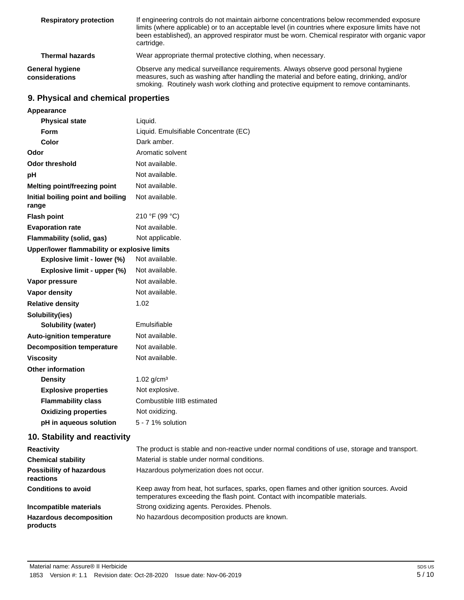| <b>Respiratory protection</b>     | If engineering controls do not maintain airborne concentrations below recommended exposure<br>limits (where applicable) or to an acceptable level (in countries where exposure limits have not<br>been established), an approved respirator must be worn. Chemical respirator with organic vapor<br>cartridge. |
|-----------------------------------|----------------------------------------------------------------------------------------------------------------------------------------------------------------------------------------------------------------------------------------------------------------------------------------------------------------|
| <b>Thermal hazards</b>            | Wear appropriate thermal protective clothing, when necessary.                                                                                                                                                                                                                                                  |
| General hygiene<br>considerations | Observe any medical surveillance requirements. Always observe good personal hygiene<br>measures, such as washing after handling the material and before eating, drinking, and/or<br>smoking. Routinely wash work clothing and protective equipment to remove contaminants.                                     |

## **9. Physical and chemical properties**

| Appearance                                   |                                                                                                                                                                          |
|----------------------------------------------|--------------------------------------------------------------------------------------------------------------------------------------------------------------------------|
| <b>Physical state</b>                        | Liquid.                                                                                                                                                                  |
| <b>Form</b>                                  | Liquid. Emulsifiable Concentrate (EC)                                                                                                                                    |
| Color                                        | Dark amber.                                                                                                                                                              |
| Odor                                         | Aromatic solvent                                                                                                                                                         |
| <b>Odor threshold</b>                        | Not available.                                                                                                                                                           |
| pH                                           | Not available.                                                                                                                                                           |
| <b>Melting point/freezing point</b>          | Not available.                                                                                                                                                           |
| Initial boiling point and boiling<br>range   | Not available.                                                                                                                                                           |
| <b>Flash point</b>                           | 210 °F (99 °C)                                                                                                                                                           |
| <b>Evaporation rate</b>                      | Not available.                                                                                                                                                           |
| Flammability (solid, gas)                    | Not applicable.                                                                                                                                                          |
| Upper/lower flammability or explosive limits |                                                                                                                                                                          |
| Explosive limit - lower (%)                  | Not available.                                                                                                                                                           |
| Explosive limit - upper (%)                  | Not available.                                                                                                                                                           |
| Vapor pressure                               | Not available.                                                                                                                                                           |
| Vapor density                                | Not available.                                                                                                                                                           |
| <b>Relative density</b>                      | 1.02                                                                                                                                                                     |
| Solubility(ies)                              |                                                                                                                                                                          |
| Solubility (water)                           | Emulsifiable                                                                                                                                                             |
| <b>Auto-ignition temperature</b>             | Not available.                                                                                                                                                           |
| <b>Decomposition temperature</b>             | Not available.                                                                                                                                                           |
| <b>Viscosity</b>                             | Not available.                                                                                                                                                           |
| <b>Other information</b>                     |                                                                                                                                                                          |
| <b>Density</b>                               | 1.02 $g/cm^{3}$                                                                                                                                                          |
| <b>Explosive properties</b>                  | Not explosive.                                                                                                                                                           |
| <b>Flammability class</b>                    | Combustible IIIB estimated                                                                                                                                               |
| <b>Oxidizing properties</b>                  | Not oxidizing.                                                                                                                                                           |
| pH in aqueous solution                       | 5 - 7 1% solution                                                                                                                                                        |
| 10. Stability and reactivity                 |                                                                                                                                                                          |
| <b>Reactivity</b>                            | The product is stable and non-reactive under normal conditions of use, storage and transport.                                                                            |
| <b>Chemical stability</b>                    | Material is stable under normal conditions.                                                                                                                              |
| <b>Possibility of hazardous</b><br>reactions | Hazardous polymerization does not occur.                                                                                                                                 |
| <b>Conditions to avoid</b>                   | Keep away from heat, hot surfaces, sparks, open flames and other ignition sources. Avoid<br>temperatures exceeding the flash point. Contact with incompatible materials. |
| Incompatible materials                       | Strong oxidizing agents. Peroxides. Phenols.                                                                                                                             |
| <b>Hazardous decomposition</b><br>products   | No hazardous decomposition products are known.                                                                                                                           |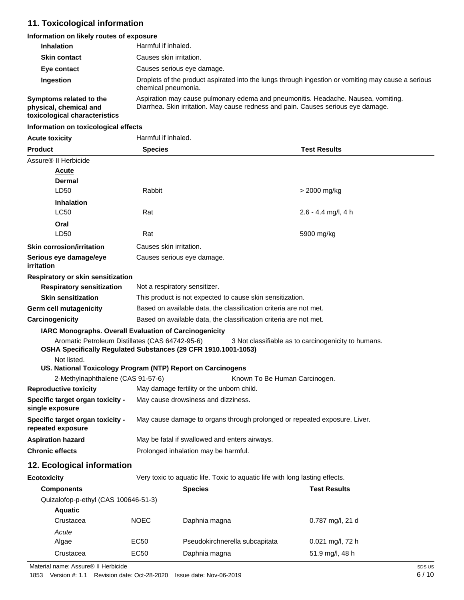# **11. Toxicological information**

## **Information on likely routes of exposure**

| <b>Inhalation</b>                                 | Harmful if inhaled.                                                                                                                                                    |
|---------------------------------------------------|------------------------------------------------------------------------------------------------------------------------------------------------------------------------|
| <b>Skin contact</b>                               | Causes skin irritation.                                                                                                                                                |
| Eye contact                                       | Causes serious eye damage.                                                                                                                                             |
| Ingestion                                         | Droplets of the product aspirated into the lungs through ingestion or vomiting may cause a serious<br>chemical pneumonia.                                              |
| Symptoms related to the<br>physical, chemical and | Aspiration may cause pulmonary edema and pneumonitis. Headache. Nausea, vomiting.<br>Diarrhea. Skin irritation. May cause redness and pain. Causes serious eye damage. |

**physical, chemical and toxicological characteristics**

#### **Information on toxicological effects**

| <b>Acute toxicity</b>                                                                                                            | Harmful if inhaled.                                                       |                               |                                                     |
|----------------------------------------------------------------------------------------------------------------------------------|---------------------------------------------------------------------------|-------------------------------|-----------------------------------------------------|
| <b>Product</b>                                                                                                                   | <b>Species</b>                                                            |                               | <b>Test Results</b>                                 |
| Assure <sup>®</sup> II Herbicide                                                                                                 |                                                                           |                               |                                                     |
| <b>Acute</b>                                                                                                                     |                                                                           |                               |                                                     |
| Dermal                                                                                                                           |                                                                           |                               |                                                     |
| LD50                                                                                                                             | Rabbit                                                                    |                               | > 2000 mg/kg                                        |
| <b>Inhalation</b>                                                                                                                |                                                                           |                               |                                                     |
| <b>LC50</b>                                                                                                                      | Rat                                                                       |                               | $2.6 - 4.4$ mg/l, 4 h                               |
| Oral                                                                                                                             |                                                                           |                               |                                                     |
| LD50                                                                                                                             | Rat                                                                       |                               | 5900 mg/kg                                          |
| <b>Skin corrosion/irritation</b>                                                                                                 | Causes skin irritation.                                                   |                               |                                                     |
| Serious eye damage/eye<br>irritation                                                                                             | Causes serious eye damage.                                                |                               |                                                     |
| Respiratory or skin sensitization                                                                                                |                                                                           |                               |                                                     |
| <b>Respiratory sensitization</b>                                                                                                 | Not a respiratory sensitizer.                                             |                               |                                                     |
| <b>Skin sensitization</b>                                                                                                        | This product is not expected to cause skin sensitization.                 |                               |                                                     |
| <b>Germ cell mutagenicity</b>                                                                                                    | Based on available data, the classification criteria are not met.         |                               |                                                     |
| Carcinogenicity                                                                                                                  | Based on available data, the classification criteria are not met.         |                               |                                                     |
| IARC Monographs. Overall Evaluation of Carcinogenicity                                                                           |                                                                           |                               |                                                     |
| Aromatic Petroleum Distillates (CAS 64742-95-6)<br>OSHA Specifically Regulated Substances (29 CFR 1910.1001-1053)<br>Not listed. |                                                                           |                               | 3 Not classifiable as to carcinogenicity to humans. |
| US. National Toxicology Program (NTP) Report on Carcinogens                                                                      |                                                                           |                               |                                                     |
| 2-Methylnaphthalene (CAS 91-57-6)                                                                                                |                                                                           | Known To Be Human Carcinogen. |                                                     |
| <b>Reproductive toxicity</b>                                                                                                     | May damage fertility or the unborn child.                                 |                               |                                                     |
| Specific target organ toxicity -<br>single exposure                                                                              | May cause drowsiness and dizziness.                                       |                               |                                                     |
| Specific target organ toxicity -<br>repeated exposure                                                                            | May cause damage to organs through prolonged or repeated exposure. Liver. |                               |                                                     |
| <b>Aspiration hazard</b>                                                                                                         | May be fatal if swallowed and enters airways.                             |                               |                                                     |
| <b>Chronic effects</b>                                                                                                           | Prolonged inhalation may be harmful.                                      |                               |                                                     |
| 40 Eastaniast informatio                                                                                                         |                                                                           |                               |                                                     |

## **12. Ecological information**

**Ecotoxicity** Very toxic to aquatic life. Toxic to aquatic life with long lasting effects.

| <b>Components</b>                    |                  | <b>Species</b>                 | <b>Test Results</b> |  |
|--------------------------------------|------------------|--------------------------------|---------------------|--|
| Quizalofop-p-ethyl (CAS 100646-51-3) |                  |                                |                     |  |
| <b>Aquatic</b>                       |                  |                                |                     |  |
| Crustacea                            | <b>NOEC</b>      | Daphnia magna                  | 0.787 mg/l, 21 d    |  |
| Acute                                |                  |                                |                     |  |
| Algae                                | EC50             | Pseudokirchnerella subcapitata | $0.021$ mg/l, 72 h  |  |
| Crustacea                            | EC <sub>50</sub> | Daphnia magna                  | 51.9 mg/l, 48 h     |  |

Material name: Assure® II Herbicide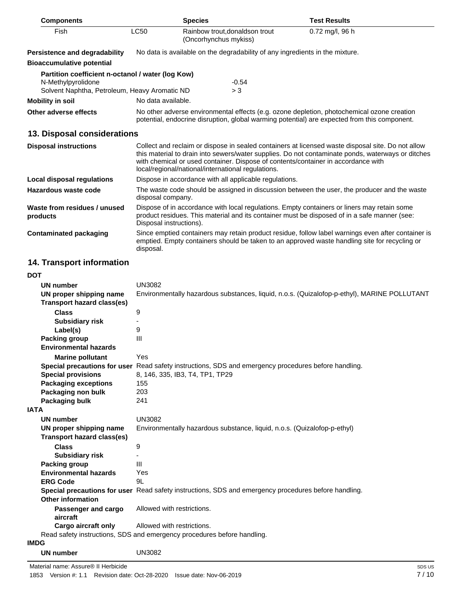| <b>Components</b>                                                                                                        |                                                                                                                                                                                                                                                                                                                                                   | <b>Species</b>                                                                                                                                                                              | <b>Test Results</b>                                                                                |
|--------------------------------------------------------------------------------------------------------------------------|---------------------------------------------------------------------------------------------------------------------------------------------------------------------------------------------------------------------------------------------------------------------------------------------------------------------------------------------------|---------------------------------------------------------------------------------------------------------------------------------------------------------------------------------------------|----------------------------------------------------------------------------------------------------|
| Fish                                                                                                                     | <b>LC50</b>                                                                                                                                                                                                                                                                                                                                       | Rainbow trout, donaldson trout<br>(Oncorhynchus mykiss)                                                                                                                                     | $0.72$ mg/l, 96 h                                                                                  |
| <b>Persistence and degradability</b>                                                                                     |                                                                                                                                                                                                                                                                                                                                                   | No data is available on the degradability of any ingredients in the mixture.                                                                                                                |                                                                                                    |
| <b>Bioaccumulative potential</b>                                                                                         |                                                                                                                                                                                                                                                                                                                                                   |                                                                                                                                                                                             |                                                                                                    |
| Partition coefficient n-octanol / water (log Kow)<br>N-Methylpyrolidone<br>Solvent Naphtha, Petroleum, Heavy Aromatic ND |                                                                                                                                                                                                                                                                                                                                                   | $-0.54$<br>> 3                                                                                                                                                                              |                                                                                                    |
| <b>Mobility in soil</b>                                                                                                  | No data available.                                                                                                                                                                                                                                                                                                                                |                                                                                                                                                                                             |                                                                                                    |
| Other adverse effects                                                                                                    |                                                                                                                                                                                                                                                                                                                                                   | No other adverse environmental effects (e.g. ozone depletion, photochemical ozone creation<br>potential, endocrine disruption, global warming potential) are expected from this component.  |                                                                                                    |
| 13. Disposal considerations                                                                                              |                                                                                                                                                                                                                                                                                                                                                   |                                                                                                                                                                                             |                                                                                                    |
| <b>Disposal instructions</b>                                                                                             | Collect and reclaim or dispose in sealed containers at licensed waste disposal site. Do not allow<br>this material to drain into sewers/water supplies. Do not contaminate ponds, waterways or ditches<br>with chemical or used container. Dispose of contents/container in accordance with<br>local/regional/national/international regulations. |                                                                                                                                                                                             |                                                                                                    |
| Local disposal regulations                                                                                               |                                                                                                                                                                                                                                                                                                                                                   | Dispose in accordance with all applicable regulations.                                                                                                                                      |                                                                                                    |
| Hazardous waste code                                                                                                     | disposal company.                                                                                                                                                                                                                                                                                                                                 | The waste code should be assigned in discussion between the user, the producer and the waste                                                                                                |                                                                                                    |
| Waste from residues / unused<br>products                                                                                 | Disposal instructions).                                                                                                                                                                                                                                                                                                                           | Dispose of in accordance with local regulations. Empty containers or liners may retain some<br>product residues. This material and its container must be disposed of in a safe manner (see: |                                                                                                    |
| <b>Contaminated packaging</b>                                                                                            | disposal.                                                                                                                                                                                                                                                                                                                                         | emptied. Empty containers should be taken to an approved waste handling site for recycling or                                                                                               | Since emptied containers may retain product residue, follow label warnings even after container is |
| <b>14. Transport information</b>                                                                                         |                                                                                                                                                                                                                                                                                                                                                   |                                                                                                                                                                                             |                                                                                                    |

| <b>DOT</b>                                            |                                                                                                      |
|-------------------------------------------------------|------------------------------------------------------------------------------------------------------|
| <b>UN number</b>                                      | <b>UN3082</b>                                                                                        |
| UN proper shipping name<br>Transport hazard class(es) | Environmentally hazardous substances, liquid, n.o.s. (Quizalofop-p-ethyl), MARINE POLLUTANT          |
| <b>Class</b>                                          | 9                                                                                                    |
| <b>Subsidiary risk</b>                                |                                                                                                      |
| Label(s)                                              | 9                                                                                                    |
| <b>Packing group</b>                                  | III                                                                                                  |
| <b>Environmental hazards</b>                          |                                                                                                      |
| <b>Marine pollutant</b>                               | Yes                                                                                                  |
|                                                       | Special precautions for user Read safety instructions, SDS and emergency procedures before handling. |
| <b>Special provisions</b>                             | 8, 146, 335, IB3, T4, TP1, TP29                                                                      |
| <b>Packaging exceptions</b>                           | 155                                                                                                  |
| Packaging non bulk                                    | 203                                                                                                  |
| Packaging bulk                                        | 241                                                                                                  |
| <b>IATA</b>                                           |                                                                                                      |
| <b>UN number</b>                                      | <b>UN3082</b>                                                                                        |
| UN proper shipping name                               | Environmentally hazardous substance, liquid, n.o.s. (Quizalofop-p-ethyl)                             |
| Transport hazard class(es)                            |                                                                                                      |
| <b>Class</b>                                          | 9                                                                                                    |
| <b>Subsidiary risk</b>                                |                                                                                                      |
| <b>Packing group</b>                                  | Ш                                                                                                    |
| <b>Environmental hazards</b>                          | Yes                                                                                                  |
| <b>ERG Code</b>                                       | 91                                                                                                   |
|                                                       | Special precautions for user Read safety instructions, SDS and emergency procedures before handling. |
| <b>Other information</b>                              |                                                                                                      |
| Passenger and cargo<br>aircraft                       | Allowed with restrictions.                                                                           |
| Cargo aircraft only                                   | Allowed with restrictions.                                                                           |
|                                                       | Read safety instructions, SDS and emergency procedures before handling.                              |
| <b>IMDG</b>                                           |                                                                                                      |
| UN number                                             | <b>UN3082</b>                                                                                        |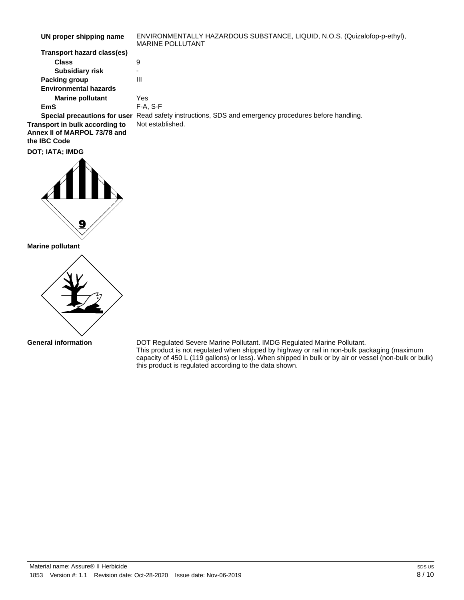| UN proper shipping name      | ENVIRONMENTALLY HAZARDOUS SUBSTANCE, LIQUID, N.O.S. (Quizalofop-p-ethyl),<br><b>MARINE POLLUTANT</b> |
|------------------------------|------------------------------------------------------------------------------------------------------|
| Transport hazard class(es)   |                                                                                                      |
| <b>Class</b>                 | 9                                                                                                    |
| <b>Subsidiary risk</b>       | $\overline{\phantom{0}}$                                                                             |
| Packing group                | Ш                                                                                                    |
| <b>Environmental hazards</b> |                                                                                                      |
| <b>Marine pollutant</b>      | Yes                                                                                                  |
| EmS                          | $F-A, S-F$                                                                                           |

**Special precautions for user** Read safety instructions, SDS and emergency procedures before handling. **Transport in bulk according to** Not established. **Annex II of MARPOL 73/78 and the IBC Code**

**DOT; IATA; IMDG**



**Marine pollutant**



**General information**

DOT Regulated Severe Marine Pollutant. IMDG Regulated Marine Pollutant. This product is not regulated when shipped by highway or rail in non-bulk packaging (maximum capacity of 450 L (119 gallons) or less). When shipped in bulk or by air or vessel (non-bulk or bulk) this product is regulated according to the data shown.

Material name: Assure® II Herbicide 1853 Version #: 1.1 Revision date: Oct-28-2020 Issue date: Nov-06-2019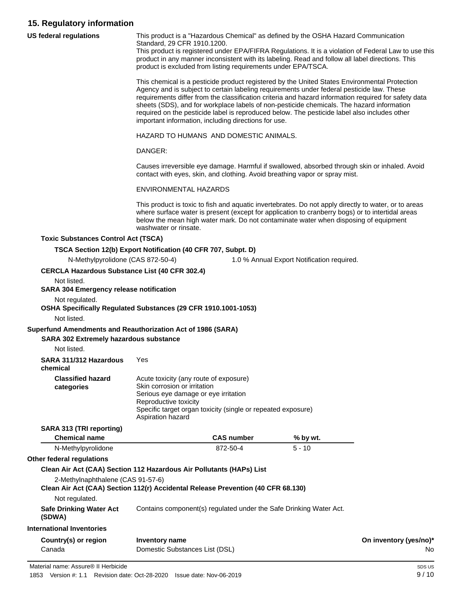## **15. Regulatory information**

| US federal regulations                                                                                | This product is a "Hazardous Chemical" as defined by the OSHA Hazard Communication<br>Standard, 29 CFR 1910.1200.<br>This product is registered under EPA/FIFRA Regulations. It is a violation of Federal Law to use this<br>product in any manner inconsistent with its labeling. Read and follow all label directions. This<br>product is excluded from listing requirements under EPA/TSCA.                                                                                                                                                          |  |                                            |                        |
|-------------------------------------------------------------------------------------------------------|---------------------------------------------------------------------------------------------------------------------------------------------------------------------------------------------------------------------------------------------------------------------------------------------------------------------------------------------------------------------------------------------------------------------------------------------------------------------------------------------------------------------------------------------------------|--|--------------------------------------------|------------------------|
|                                                                                                       | This chemical is a pesticide product registered by the United States Environmental Protection<br>Agency and is subject to certain labeling requirements under federal pesticide law. These<br>requirements differ from the classification criteria and hazard information required for safety data<br>sheets (SDS), and for workplace labels of non-pesticide chemicals. The hazard information<br>required on the pesticide label is reproduced below. The pesticide label also includes other<br>important information, including directions for use. |  |                                            |                        |
|                                                                                                       | HAZARD TO HUMANS AND DOMESTIC ANIMALS.                                                                                                                                                                                                                                                                                                                                                                                                                                                                                                                  |  |                                            |                        |
|                                                                                                       | DANGER:                                                                                                                                                                                                                                                                                                                                                                                                                                                                                                                                                 |  |                                            |                        |
|                                                                                                       | Causes irreversible eye damage. Harmful if swallowed, absorbed through skin or inhaled. Avoid<br>contact with eyes, skin, and clothing. Avoid breathing vapor or spray mist.                                                                                                                                                                                                                                                                                                                                                                            |  |                                            |                        |
|                                                                                                       | ENVIRONMENTAL HAZARDS                                                                                                                                                                                                                                                                                                                                                                                                                                                                                                                                   |  |                                            |                        |
|                                                                                                       | This product is toxic to fish and aquatic invertebrates. Do not apply directly to water, or to areas<br>where surface water is present (except for application to cranberry bogs) or to intertidal areas<br>below the mean high water mark. Do not contaminate water when disposing of equipment<br>washwater or rinsate.                                                                                                                                                                                                                               |  |                                            |                        |
| <b>Toxic Substances Control Act (TSCA)</b>                                                            |                                                                                                                                                                                                                                                                                                                                                                                                                                                                                                                                                         |  |                                            |                        |
|                                                                                                       | TSCA Section 12(b) Export Notification (40 CFR 707, Subpt. D)                                                                                                                                                                                                                                                                                                                                                                                                                                                                                           |  |                                            |                        |
| N-Methylpyrolidone (CAS 872-50-4)                                                                     |                                                                                                                                                                                                                                                                                                                                                                                                                                                                                                                                                         |  | 1.0 % Annual Export Notification required. |                        |
| <b>CERCLA Hazardous Substance List (40 CFR 302.4)</b>                                                 |                                                                                                                                                                                                                                                                                                                                                                                                                                                                                                                                                         |  |                                            |                        |
| Not listed.<br><b>SARA 304 Emergency release notification</b>                                         |                                                                                                                                                                                                                                                                                                                                                                                                                                                                                                                                                         |  |                                            |                        |
| Not regulated.                                                                                        | OSHA Specifically Regulated Substances (29 CFR 1910.1001-1053)                                                                                                                                                                                                                                                                                                                                                                                                                                                                                          |  |                                            |                        |
| Not listed.                                                                                           |                                                                                                                                                                                                                                                                                                                                                                                                                                                                                                                                                         |  |                                            |                        |
| Superfund Amendments and Reauthorization Act of 1986 (SARA)<br>SARA 302 Extremely hazardous substance |                                                                                                                                                                                                                                                                                                                                                                                                                                                                                                                                                         |  |                                            |                        |
| Not listed.                                                                                           |                                                                                                                                                                                                                                                                                                                                                                                                                                                                                                                                                         |  |                                            |                        |
| SARA 311/312 Hazardous<br>chemical                                                                    | Yes                                                                                                                                                                                                                                                                                                                                                                                                                                                                                                                                                     |  |                                            |                        |
| <b>Classified hazard</b><br>categories                                                                | Acute toxicity (any route of exposure)<br>Skin corrosion or irritation<br>Serious eye damage or eye irritation<br>Reproductive toxicity<br>Specific target organ toxicity (single or repeated exposure)<br>Aspiration hazard                                                                                                                                                                                                                                                                                                                            |  |                                            |                        |
| SARA 313 (TRI reporting)                                                                              |                                                                                                                                                                                                                                                                                                                                                                                                                                                                                                                                                         |  |                                            |                        |
| <b>Chemical name</b>                                                                                  | <b>CAS number</b>                                                                                                                                                                                                                                                                                                                                                                                                                                                                                                                                       |  | % by wt.                                   |                        |
| N-Methylpyrolidone                                                                                    | 872-50-4                                                                                                                                                                                                                                                                                                                                                                                                                                                                                                                                                |  | $5 - 10$                                   |                        |
| Other federal regulations                                                                             |                                                                                                                                                                                                                                                                                                                                                                                                                                                                                                                                                         |  |                                            |                        |
|                                                                                                       | Clean Air Act (CAA) Section 112 Hazardous Air Pollutants (HAPs) List                                                                                                                                                                                                                                                                                                                                                                                                                                                                                    |  |                                            |                        |
| 2-Methylnaphthalene (CAS 91-57-6)                                                                     | Clean Air Act (CAA) Section 112(r) Accidental Release Prevention (40 CFR 68.130)                                                                                                                                                                                                                                                                                                                                                                                                                                                                        |  |                                            |                        |
| Not regulated.                                                                                        |                                                                                                                                                                                                                                                                                                                                                                                                                                                                                                                                                         |  |                                            |                        |
| <b>Safe Drinking Water Act</b><br>(SDWA)                                                              | Contains component(s) regulated under the Safe Drinking Water Act.                                                                                                                                                                                                                                                                                                                                                                                                                                                                                      |  |                                            |                        |
| <b>International Inventories</b>                                                                      |                                                                                                                                                                                                                                                                                                                                                                                                                                                                                                                                                         |  |                                            |                        |
| Country(s) or region                                                                                  | <b>Inventory name</b>                                                                                                                                                                                                                                                                                                                                                                                                                                                                                                                                   |  |                                            | On inventory (yes/no)* |
| Canada                                                                                                | Domestic Substances List (DSL)                                                                                                                                                                                                                                                                                                                                                                                                                                                                                                                          |  |                                            | No                     |